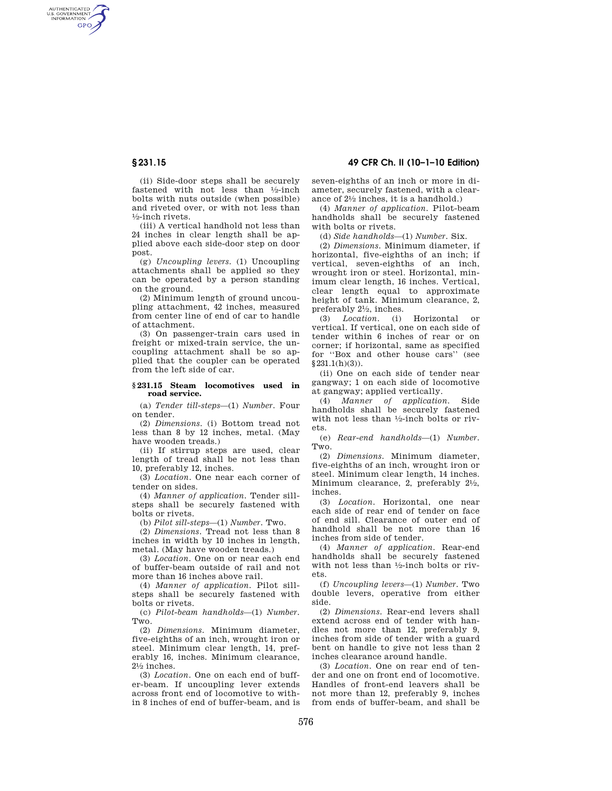AUTHENTICATED<br>U.S. GOVERNMENT<br>INFORMATION GPO

> (ii) Side-door steps shall be securely fastened with not less than 1⁄2-inch bolts with nuts outside (when possible) and riveted over, or with not less than 1⁄2-inch rivets.

(iii) A vertical handhold not less than 24 inches in clear length shall be applied above each side-door step on door post.

(g) *Uncoupling levers.* (1) Uncoupling attachments shall be applied so they can be operated by a person standing on the ground.

(2) Minimum length of ground uncoupling attachment, 42 inches, measured from center line of end of car to handle of attachment.

(3) On passenger-train cars used in freight or mixed-train service, the uncoupling attachment shall be so applied that the coupler can be operated from the left side of car.

## **§ 231.15 Steam locomotives used in road service.**

(a) *Tender till-steps*—(1) *Number.* Four on tender.

(2) *Dimensions.* (i) Bottom tread not less than 8 by 12 inches, metal. (May have wooden treads.)

(ii) If stirrup steps are used, clear length of tread shall be not less than 10, preferably 12, inches.

(3) *Location.* One near each corner of tender on sides.

(4) *Manner of application.* Tender sillsteps shall be securely fastened with bolts or rivets.

(b) *Pilot sill-steps*—(1) *Number.* Two.

(2) *Dimensions.* Tread not less than 8 inches in width by 10 inches in length, metal. (May have wooden treads.)

(3) *Location.* One on or near each end of buffer-beam outside of rail and not more than 16 inches above rail.

(4) *Manner of application.* Pilot sillsteps shall be securely fastened with bolts or rivets.

(c) *Pilot-beam handholds*—(1) *Number.*  Two.

(2) *Dimensions.* Minimum diameter, five-eighths of an inch, wrought iron or steel. Minimum clear length, 14, preferably 16, inches. Minimum clearance,  $2\frac{1}{2}$  inches.

(3) *Location.* One on each end of buffer-beam. If uncoupling lever extends across front end of locomotive to within 8 inches of end of buffer-beam, and is

**§ 231.15 49 CFR Ch. II (10–1–10 Edition)** 

seven-eighths of an inch or more in diameter, securely fastened, with a clearance of  $2\frac{1}{2}$  inches, it is a handhold.)

(4) *Manner of application.* Pilot-beam handholds shall be securely fastened with bolts or rivets.

(d) *Side handholds*—(1) *Number.* Six.

(2) *Dimensions.* Minimum diameter, if horizontal, five-eighths of an inch; if vertical, seven-eighths of an inch, wrought iron or steel. Horizontal, minimum clear length, 16 inches. Vertical, clear length equal to approximate height of tank. Minimum clearance, 2, preferably 21⁄2, inches.

(3) *Location.* (i) Horizontal vertical. If vertical, one on each side of tender within 6 inches of rear or on corner; if horizontal, same as specified for ''Box and other house cars'' (see §231.1(h)(3)).

(ii) One on each side of tender near gangway; 1 on each side of locomotive at gangway; applied vertically.

(4) *Manner of application.* Side handholds shall be securely fastened with not less than 1⁄2-inch bolts or rivets.

(e) *Rear-end handholds*—(1) *Number.*  Two.

(2) *Dimensions.* Minimum diameter, five-eighths of an inch, wrought iron or steel. Minimum clear length, 14 inches. Minimum clearance, 2, preferably 21⁄2, inches.

(3) *Location.* Horizontal, one near each side of rear end of tender on face of end sill. Clearance of outer end of handhold shall be not more than 16 inches from side of tender.

(4) *Manner of application.* Rear-end handholds shall be securely fastened with not less than 1⁄2-inch bolts or rivets.

(f) *Uncoupling levers*—(1) *Number.* Two double levers, operative from either side.

(2) *Dimensions.* Rear-end levers shall extend across end of tender with handles not more than 12, preferably 9, inches from side of tender with a guard bent on handle to give not less than 2 inches clearance around handle.

(3) *Location.* One on rear end of tender and one on front end of locomotive. Handles of front-end leavers shall be not more than 12, preferably 9, inches from ends of buffer-beam, and shall be